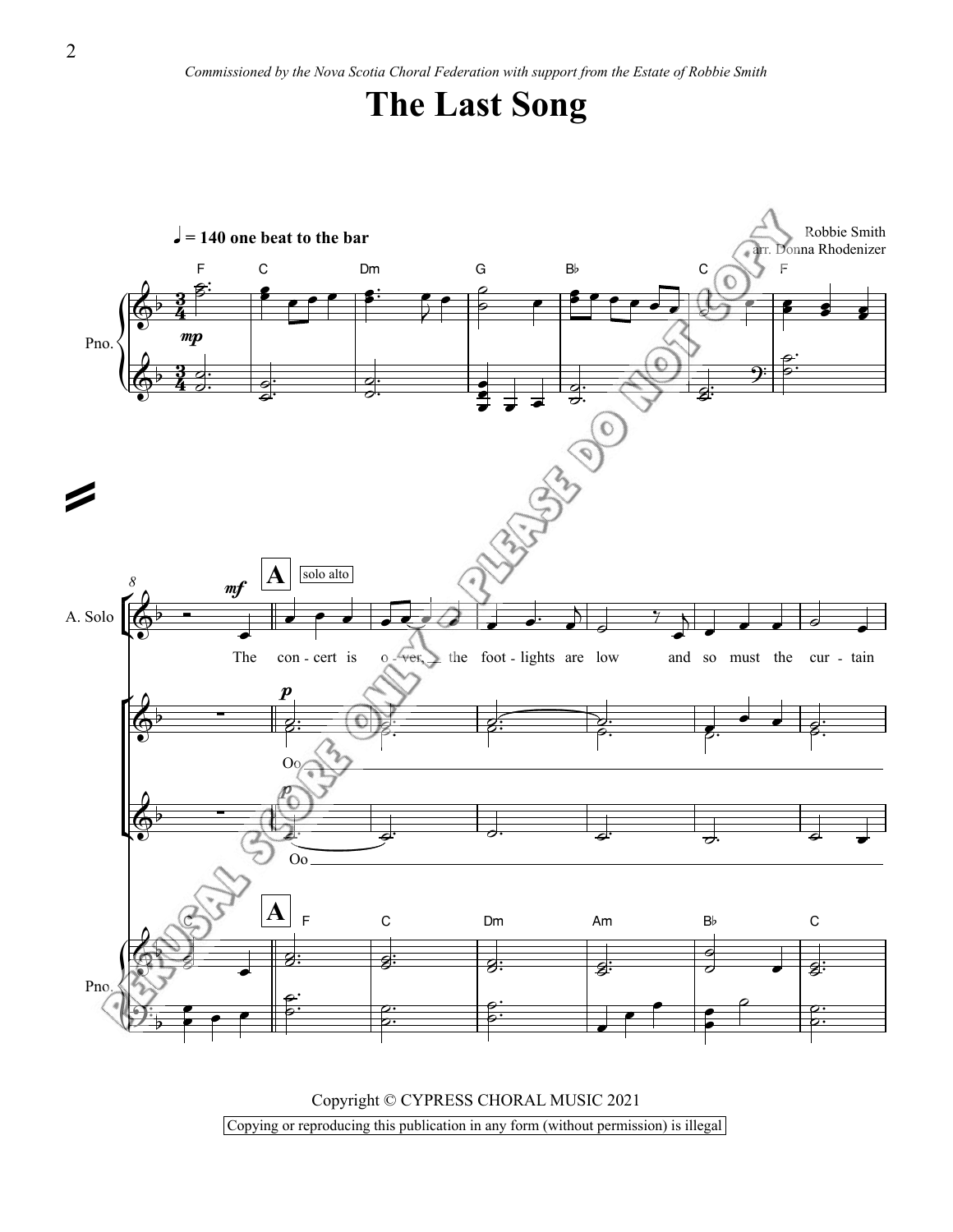## **The Last Song**



Copyright © CYPRESS CHORAL MUSIC 2021 Copying or reproducing this publication in any form (without permission) is illegal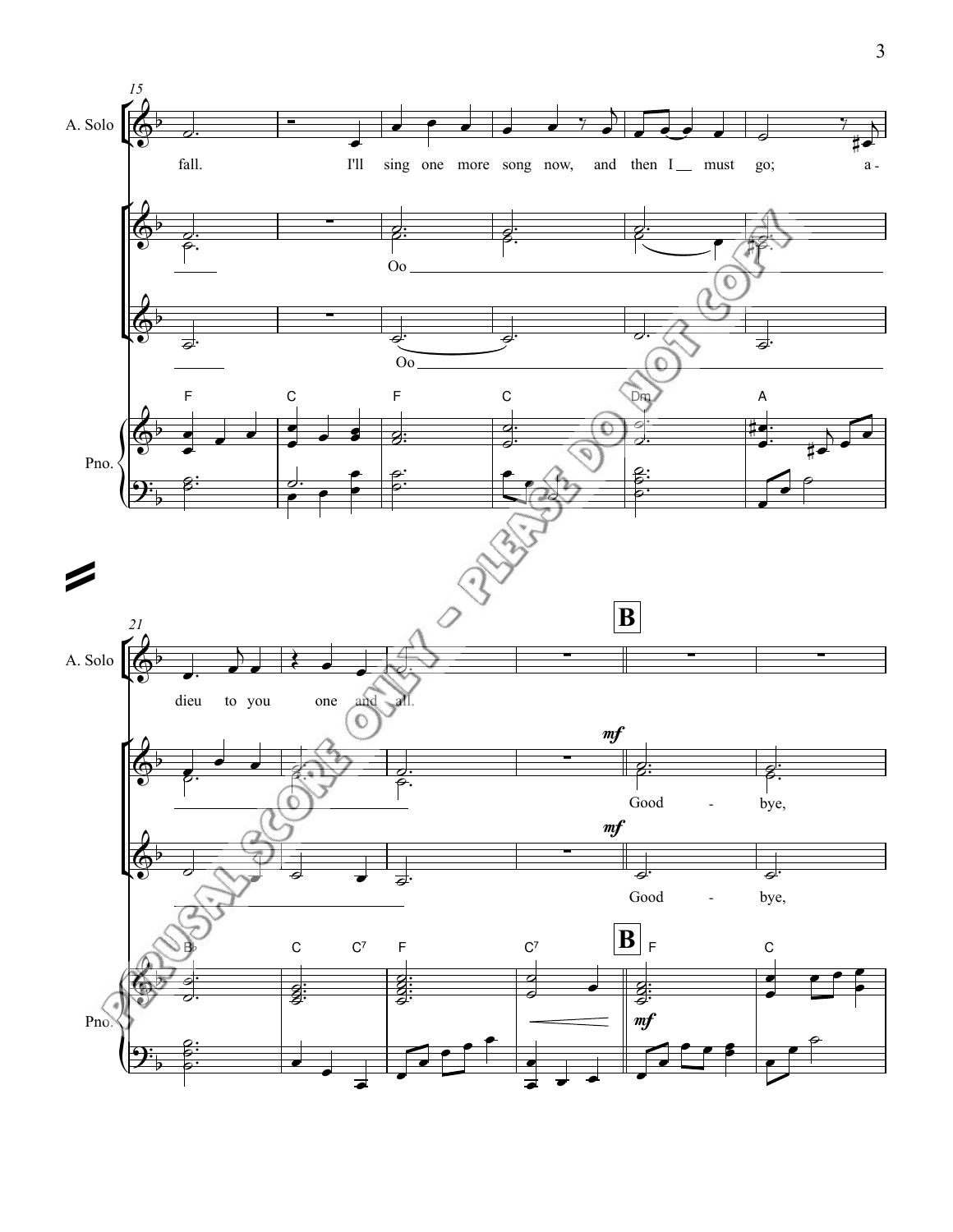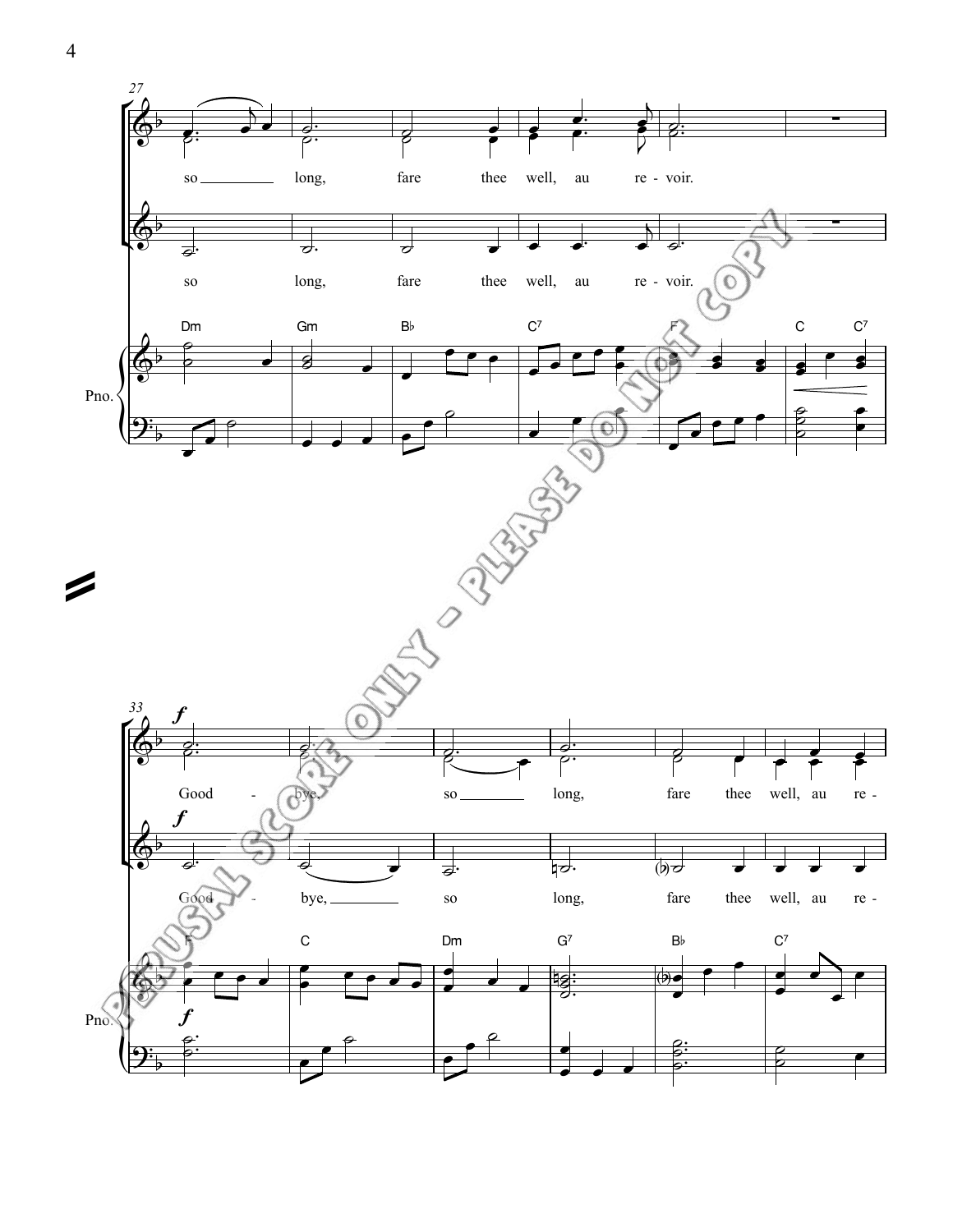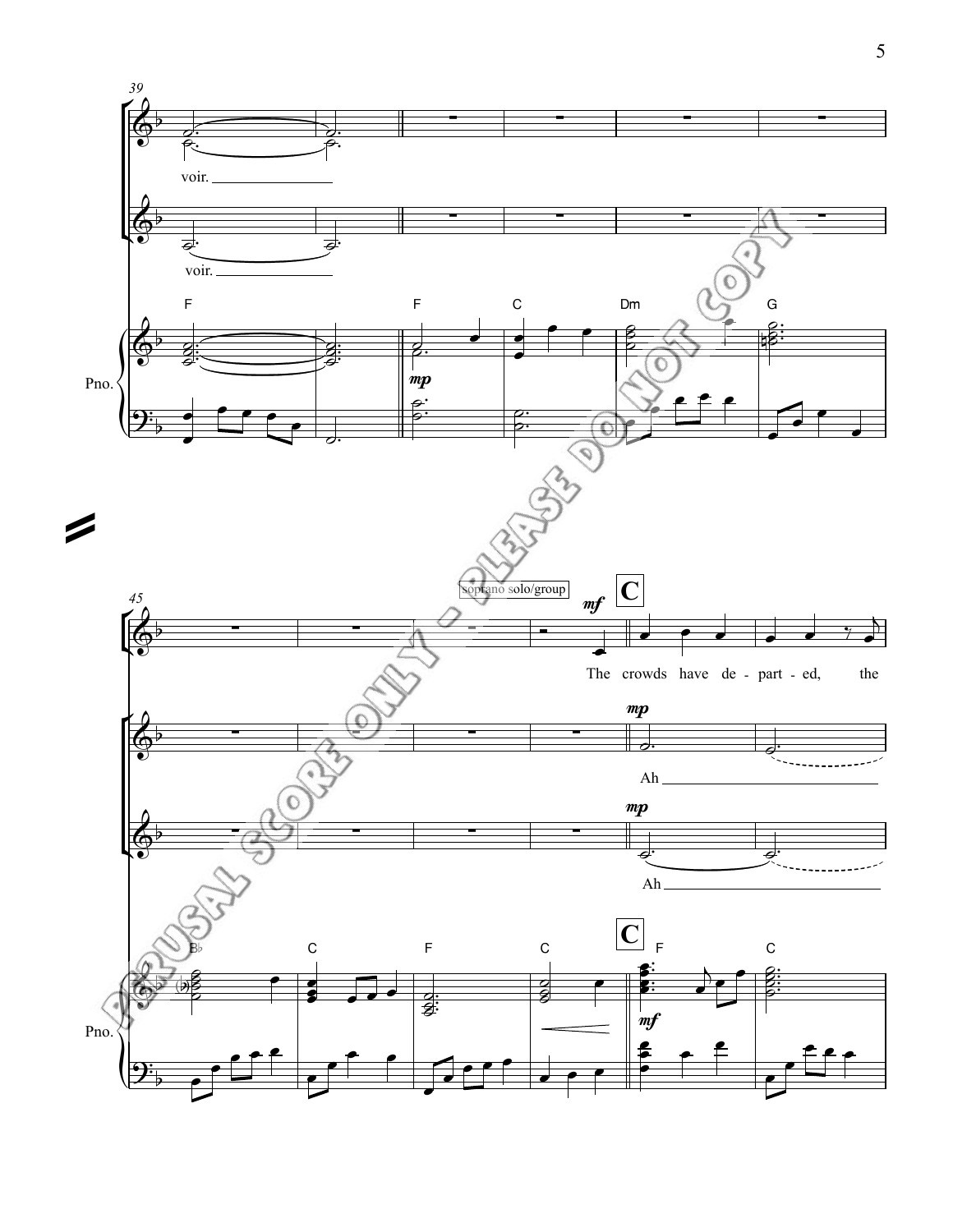

5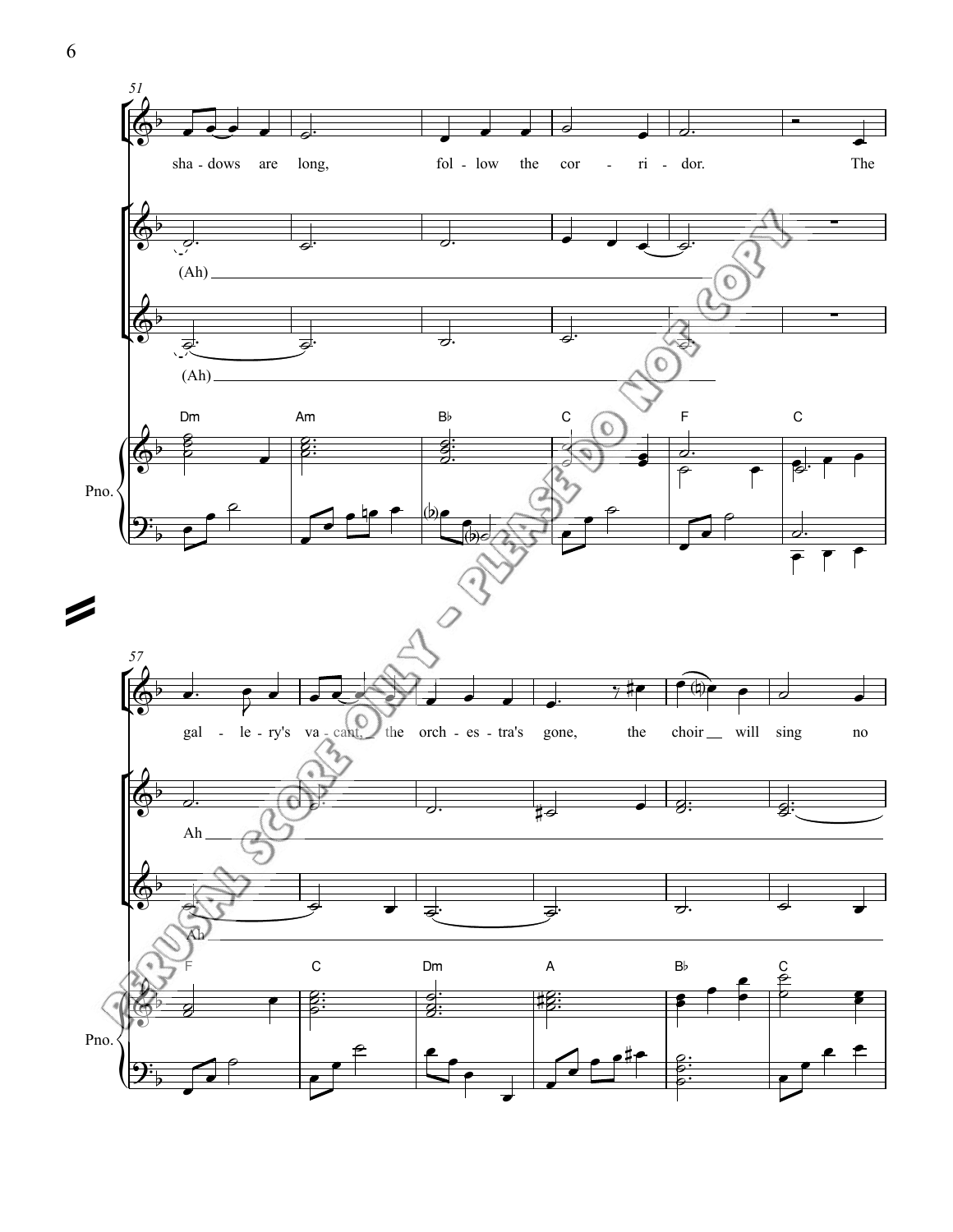

6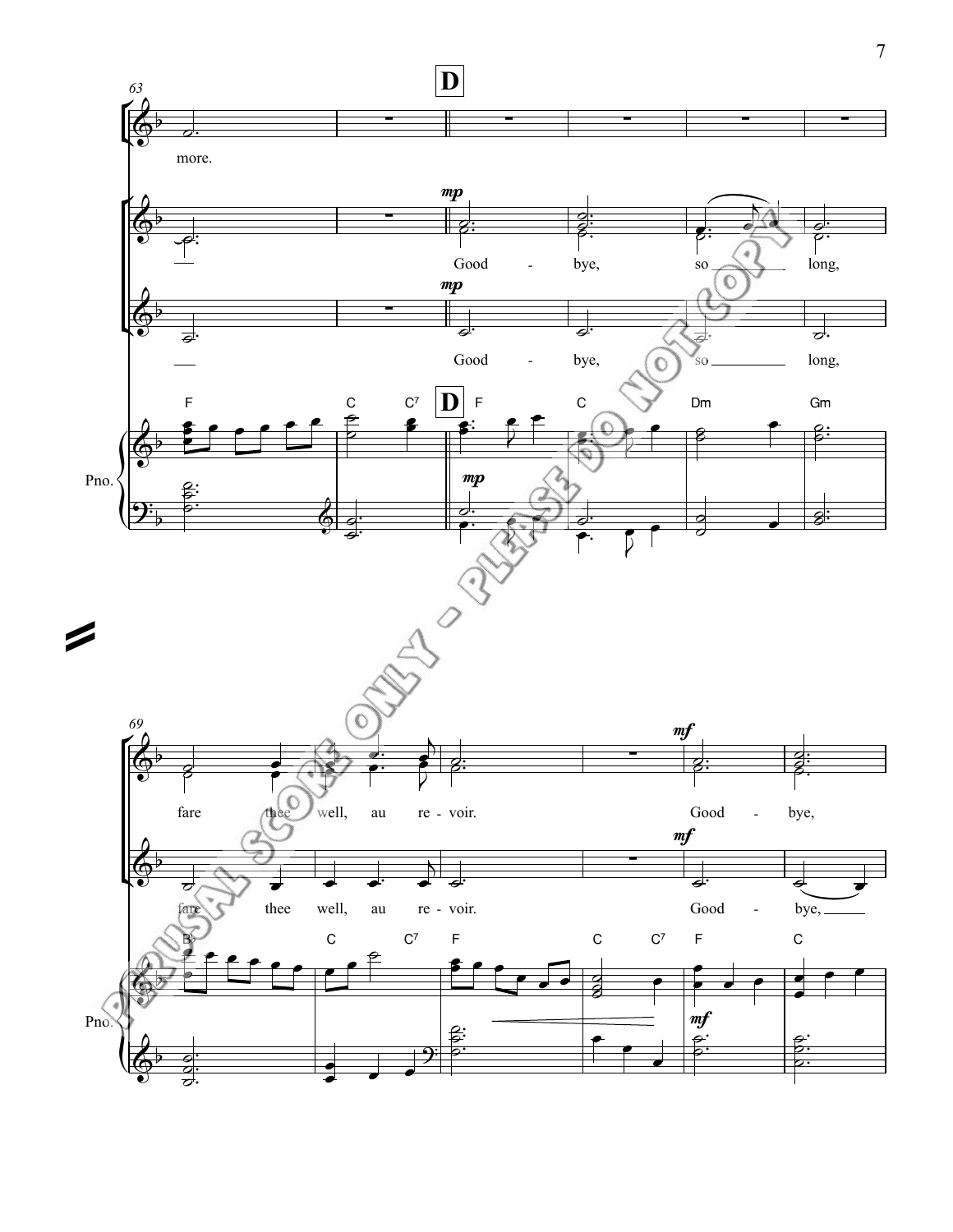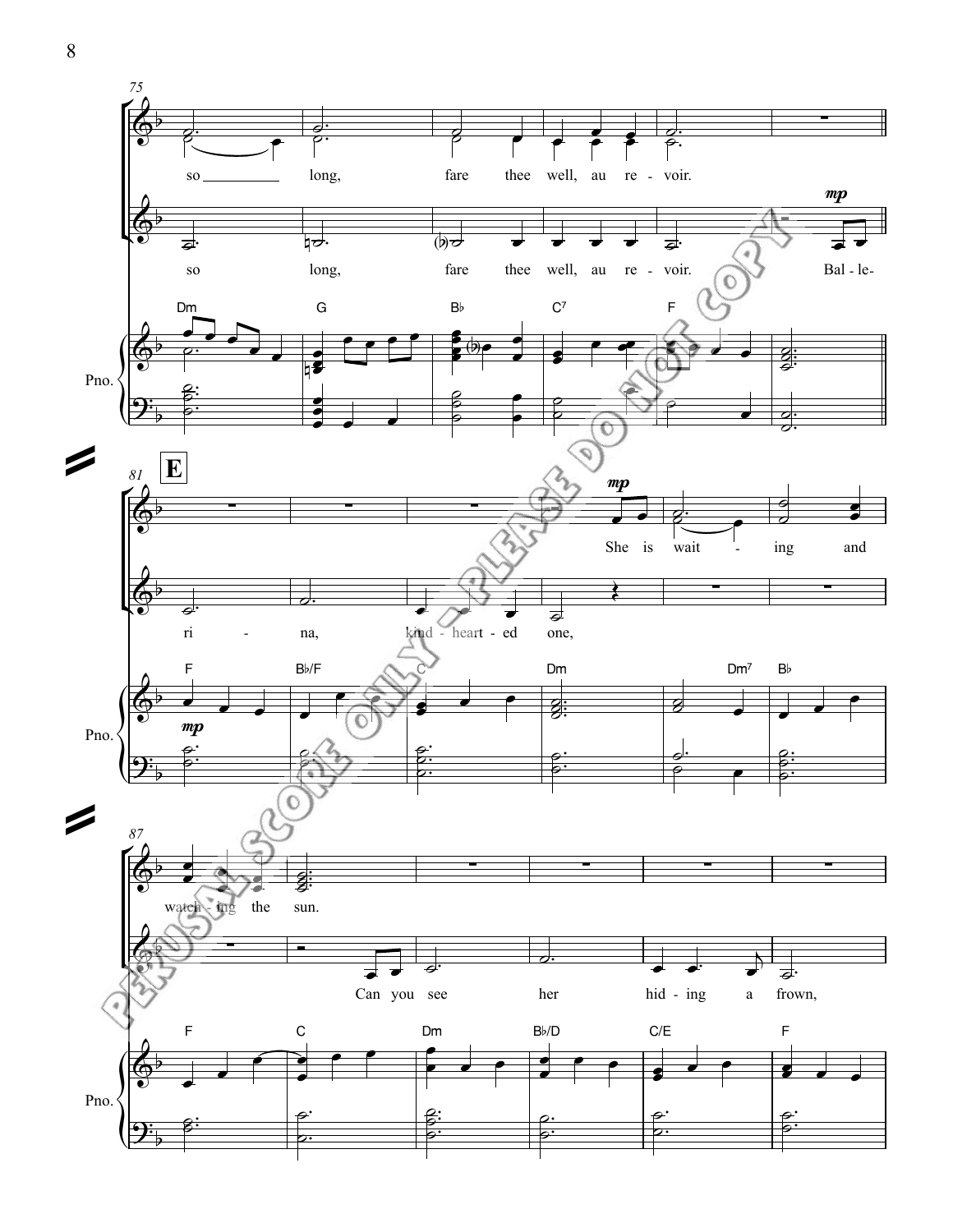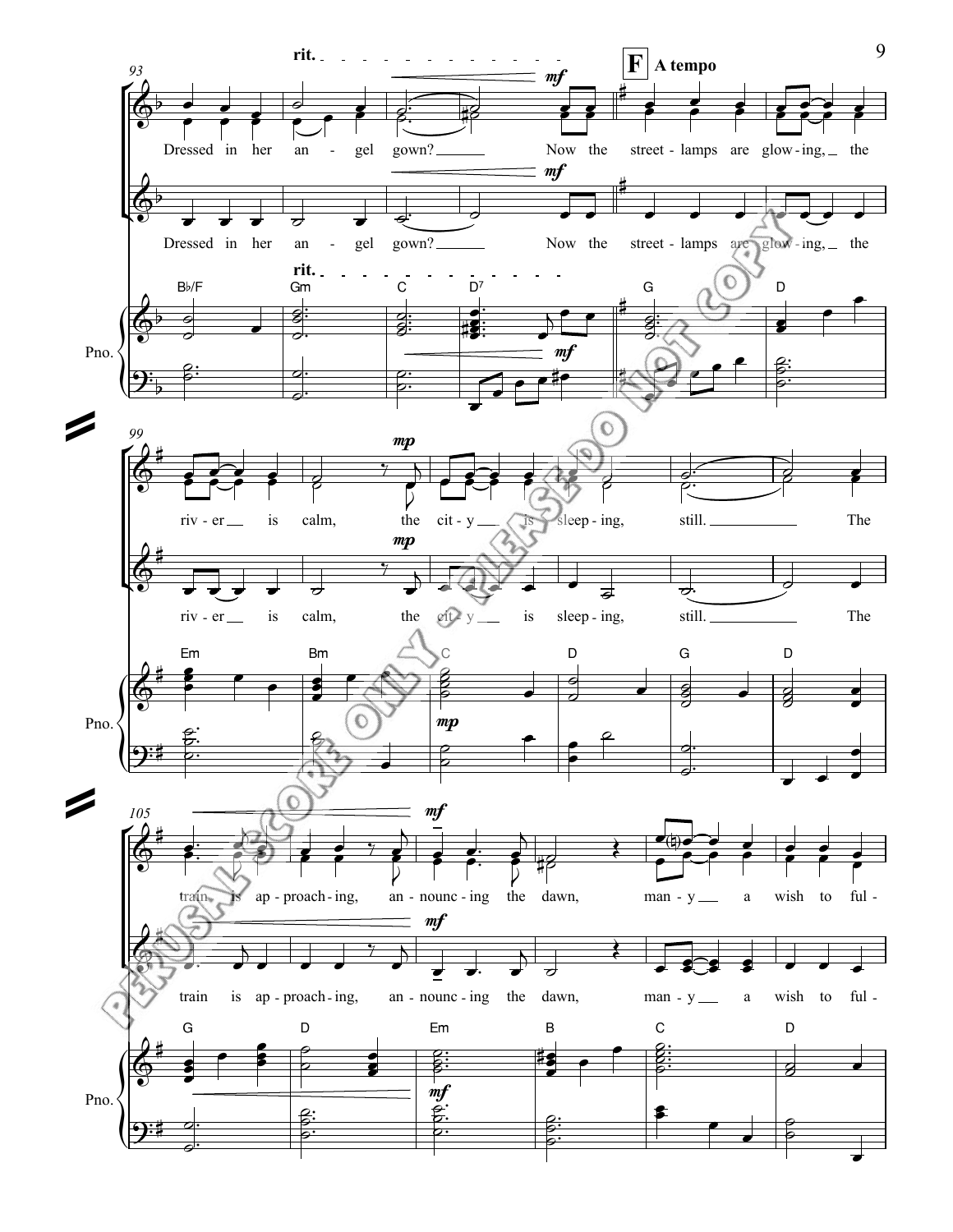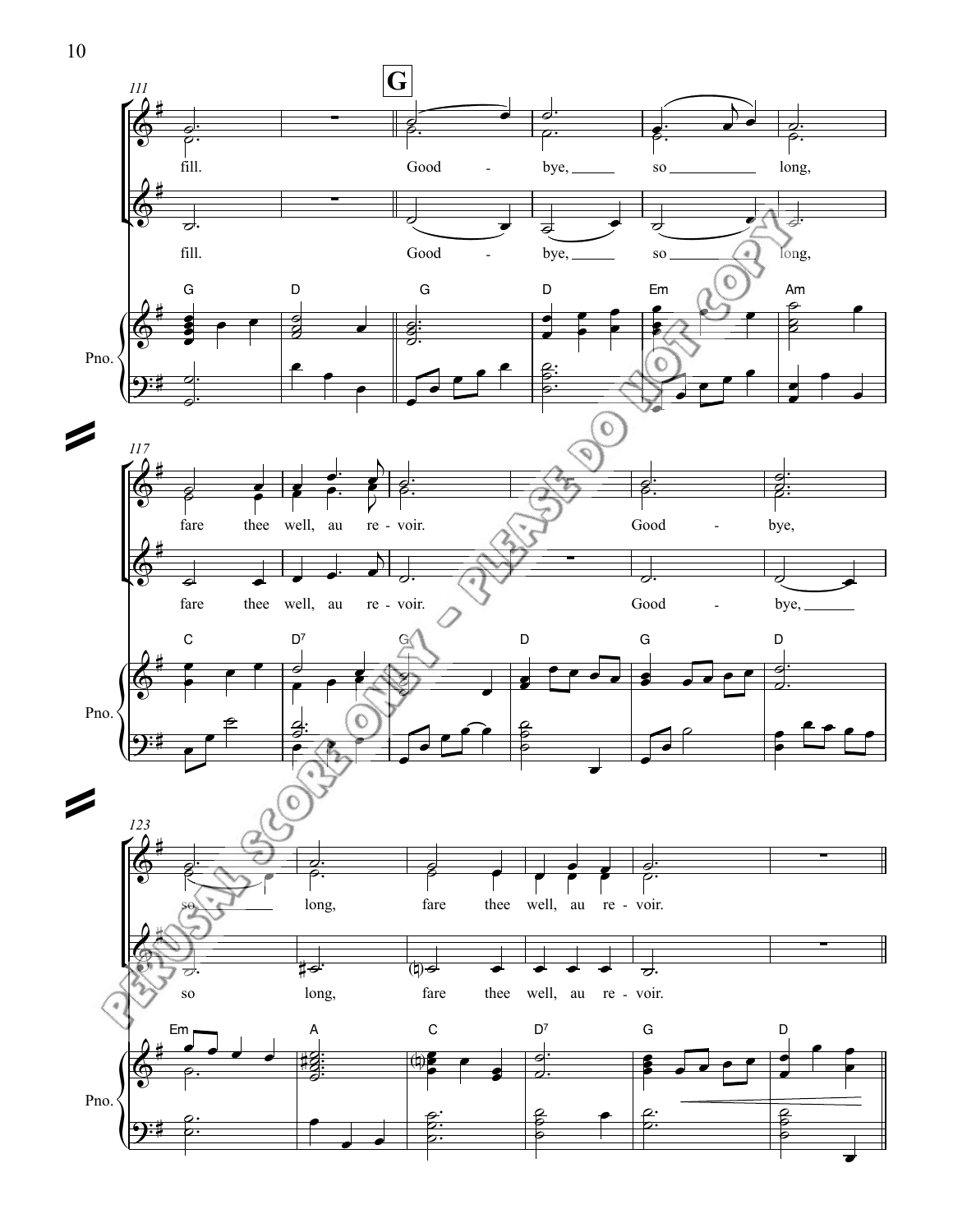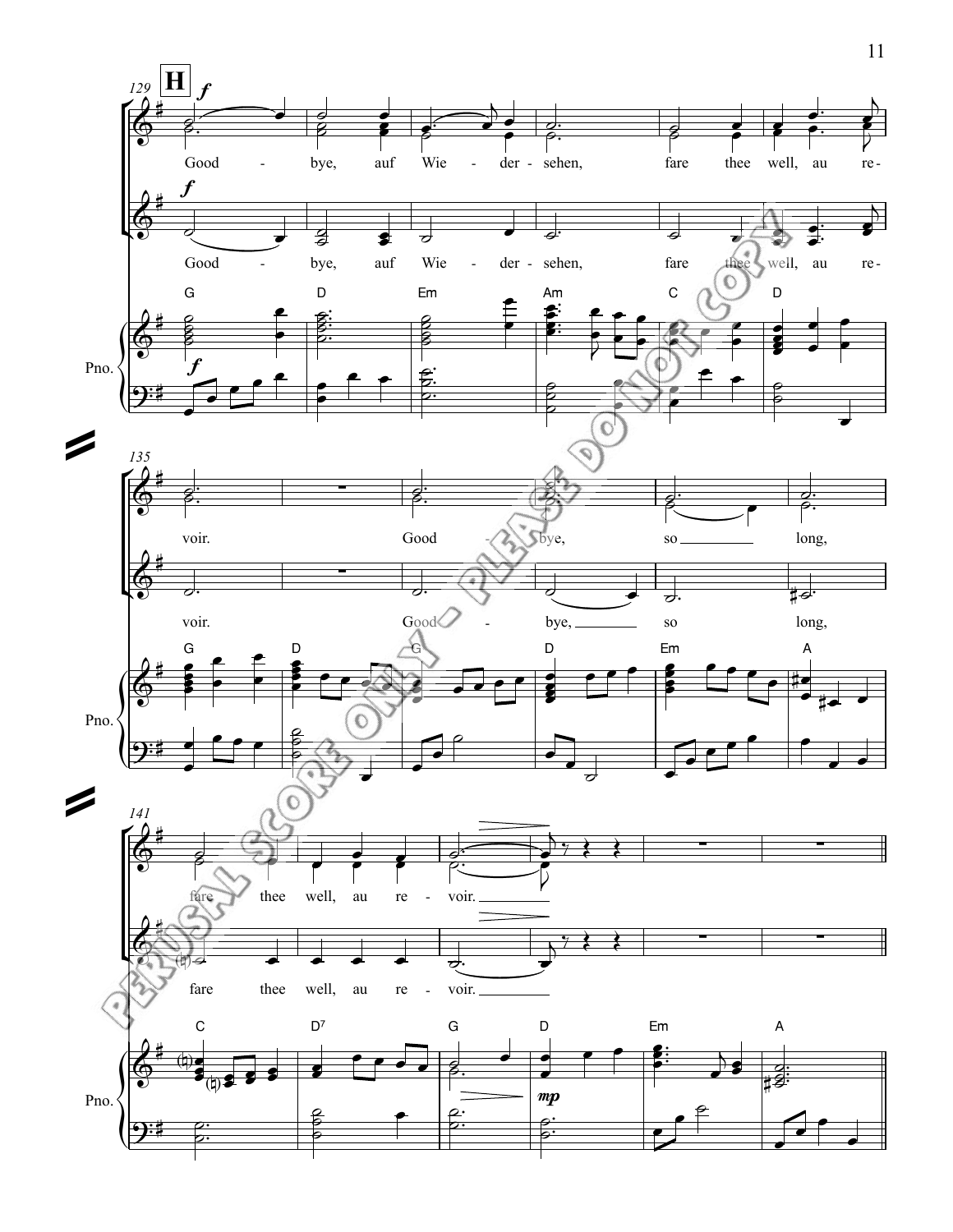